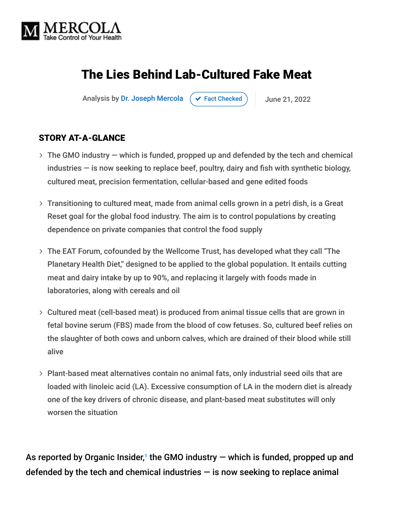

# The Lies Behind Lab-Cultured Fake Meat

Analysis by [Dr. Joseph Mercola](https://www.mercola.com/forms/background.htm)  $\left( \right. \times$  [Fact Checked](javascript:void(0))  $\left. \right)$  June 21, 2022

#### STORY AT-A-GLANCE

- The GMO industry which is funded, propped up and defended by the tech and chemical industries — is now seeking to replace beef, poultry, dairy and fish with synthetic biology, cultured meat, precision fermentation, cellular-based and gene edited foods
- Transitioning to cultured meat, made from animal cells grown in a petri dish, is a Great Reset goal for the global food industry. The aim is to control populations by creating dependence on private companies that control the food supply
- The EAT Forum, cofounded by the Wellcome Trust, has developed what they call "The Planetary Health Diet," designed to be applied to the global population. It entails cutting meat and dairy intake by up to 90%, and replacing it largely with foods made in laboratories, along with cereals and oil
- Cultured meat (cell-based meat) is produced from animal tissue cells that are grown in fetal bovine serum (FBS) made from the blood of cow fetuses. So, cultured beef relies on the slaughter of both cows and unborn calves, which are drained of their blood while still alive
- Plant-based meat alternatives contain no animal fats, only industrial seed oils that are loaded with linoleic acid (LA). Excessive consumption of LA in the modern diet is already one of the key drivers of chronic disease, and plant-based meat substitutes will only worsen the situation

As reported by Organic Insider, $1$  the GMO industry  $-$  which is funded, propped up and defended by the tech and chemical industries  $-$  is now seeking to replace animal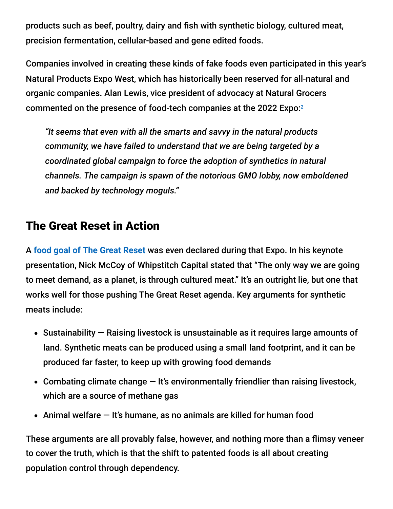products such as beef, poultry, dairy and fish with synthetic biology, cultured meat, precision fermentation, cellular-based and gene edited foods.

Companies involved in creating these kinds of fake foods even participated in this year's Natural Products Expo West, which has historically been reserved for all-natural and organic companies. Alan Lewis, vice president of advocacy at Natural Grocers commented on the presence of food-tech companies at the 2022 Expo: 2

*"It seems that even with all the smarts and savvy in the natural products community, we have failed to understand that we are being targeted by a coordinated global campaign to force the adoption of synthetics in natural channels. The campaign is spawn of the notorious GMO lobby, now emboldened and backed by technology moguls."*

### The Great Reset in Action

A **[food goal of The Great Reset](https://takecontrol.substack.com/p/synthetic-fake-meat?s=r)** was even declared during that Expo. In his keynote presentation, Nick McCoy of Whipstitch Capital stated that "The only way we are going to meet demand, as a planet, is through cultured meat." It's an outright lie, but one that works well for those pushing The Great Reset agenda. Key arguments for synthetic meats include:

- $\bullet$  Sustainability  $-$  Raising livestock is unsustainable as it requires large amounts of land. Synthetic meats can be produced using a small land footprint, and it can be produced far faster, to keep up with growing food demands
- Combating climate change  $-$  It's environmentally friendlier than raising livestock, which are a source of methane gas
- Animal welfare  $-$  It's humane, as no animals are killed for human food

These arguments are all provably false, however, and nothing more than a flimsy veneer to cover the truth, which is that the shift to patented foods is all about creating population control through dependency.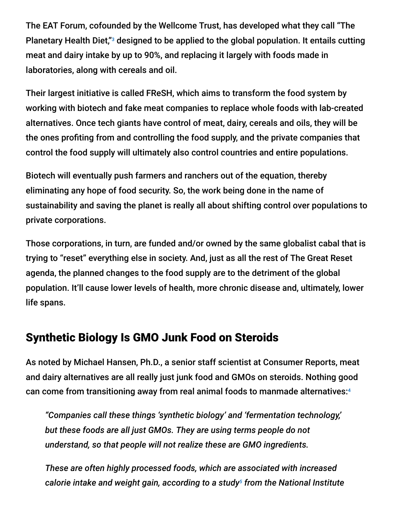The EAT Forum, cofounded by the Wellcome Trust, has developed what they call "The Planetary Health Diet,"<sup>3</sup> designed to be applied to the global population. It entails cutting meat and dairy intake by up to 90%, and replacing it largely with foods made in laboratories, along with cereals and oil.

Their largest initiative is called FReSH, which aims to transform the food system by working with biotech and fake meat companies to replace whole foods with lab-created alternatives. Once tech giants have control of meat, dairy, cereals and oils, they will be the ones profiting from and controlling the food supply, and the private companies that control the food supply will ultimately also control countries and entire populations.

Biotech will eventually push farmers and ranchers out of the equation, thereby eliminating any hope of food security. So, the work being done in the name of sustainability and saving the planet is really all about shifting control over populations to private corporations.

Those corporations, in turn, are funded and/or owned by the same globalist cabal that is trying to "reset" everything else in society. And, just as all the rest of The Great Reset agenda, the planned changes to the food supply are to the detriment of the global population. It'll cause lower levels of health, more chronic disease and, ultimately, lower life spans.

#### Synthetic Biology Is GMO Junk Food on Steroids

As noted by Michael Hansen, Ph.D., a senior staff scientist at Consumer Reports, meat and dairy alternatives are all really just junk food and GMOs on steroids. Nothing good can come from transitioning away from real animal foods to manmade alternatives: 4

*"Companies call these things 'synthetic biology' and 'fermentation technology,' but these foods are all just GMOs. They are using terms people do not understand, so that people will not realize these are GMO ingredients.*

*These are often highly processed foods, which are associated with increased* calorie intake and weight gain, according to a study<sup>5</sup> from the National Institute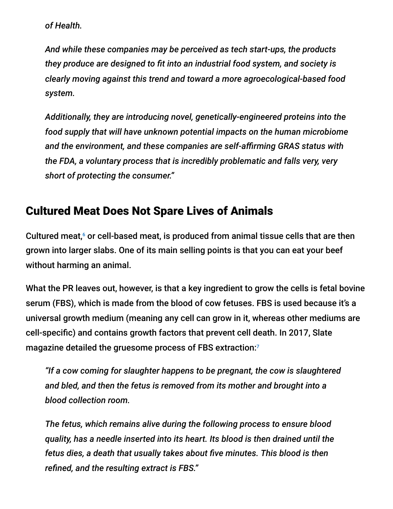*of Health.*

*And while these companies may be perceived as tech start-ups, the products they produce are designed to fit into an industrial food system, and society is clearly moving against this trend and toward a more agroecological-based food system.*

*Additionally, they are introducing novel, genetically-engineered proteins into the food supply that will have unknown potential impacts on the human microbiome and the environment, and these companies are self-affirming GRAS status with the FDA, a voluntary process that is incredibly problematic and falls very, very short of protecting the consumer."*

### Cultured Meat Does Not Spare Lives of Animals

Cultured meat, $6$  or cell-based meat, is produced from animal tissue cells that are then grown into larger slabs. One of its main selling points is that you can eat your beef without harming an animal.

What the PR leaves out, however, is that a key ingredient to grow the cells is fetal bovine serum (FBS), which is made from the blood of cow fetuses. FBS is used because it's a universal growth medium (meaning any cell can grow in it, whereas other mediums are cell-specific) and contains growth factors that prevent cell death. In 2017, Slate magazine detailed the gruesome process of FBS extraction: $^7$ 

*"If a cow coming for slaughter happens to be pregnant, the cow is slaughtered and bled, and then the fetus is removed from its mother and brought into a blood collection room.*

*The fetus, which remains alive during the following process to ensure blood quality, has a needle inserted into its heart. Its blood is then drained until the fetus dies, a death that usually takes about five minutes. This blood is then refined, and the resulting extract is FBS."*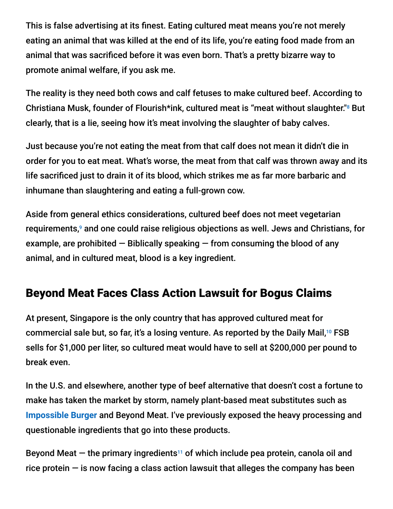This is false advertising at its finest. Eating cultured meat means you're not merely eating an animal that was killed at the end of its life, you're eating food made from an animal that was sacrificed before it was even born. That's a pretty bizarre way to promote animal welfare, if you ask me.

The reality is they need both cows and calf fetuses to make cultured beef. According to Christiana Musk, founder of Flourish\*ink, cultured meat is "meat without slaughter."<sup>8</sup> But clearly, that is a lie, seeing how it's meat involving the slaughter of baby calves.

Just because you're not eating the meat from that calf does not mean it didn't die in order for you to eat meat. What's worse, the meat from that calf was thrown away and its life sacrificed just to drain it of its blood, which strikes me as far more barbaric and inhumane than slaughtering and eating a full-grown cow.

Aside from general ethics considerations, cultured beef does not meet vegetarian requirements,<sup>9</sup> and one could raise religious objections as well. Jews and Christians, for example, are prohibited  $-$  Biblically speaking  $-$  from consuming the blood of any animal, and in cultured meat, blood is a key ingredient.

## Beyond Meat Faces Class Action Lawsuit for Bogus Claims

At present, Singapore is the only country that has approved cultured meat for commercial sale but, so far, it's a losing venture. As reported by the Daily Mail,<sup>10</sup> FSB sells for \$1,000 per liter, so cultured meat would have to sell at \$200,000 per pound to break even.

In the U.S. and elsewhere, another type of beef alternative that doesn't cost a fortune to make has taken the market by storm, namely plant-based meat substitutes such as **[Impossible Burger](https://takecontrol.substack.com/p/impossible-foods-holds-14-patents?s=r)** and Beyond Meat. I've previously exposed the heavy processing and questionable ingredients that go into these products.

Beyond Meat  $-$  the primary ingredients<sup>11</sup> of which include pea protein, canola oil and rice protein  $-$  is now facing a class action lawsuit that alleges the company has been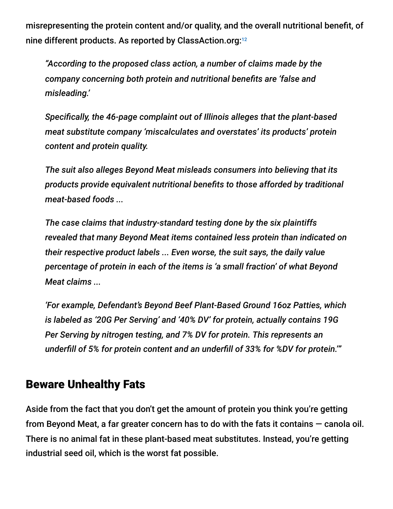misrepresenting the protein content and/or quality, and the overall nutritional benefit, of nine different products. As reported by ClassAction.org: 12

*"According to the proposed class action, a number of claims made by the company concerning both protein and nutritional benefits are 'false and misleading.'*

*Specifically, the 46-page complaint out of Illinois alleges that the plant-based meat substitute company 'miscalculates and overstates' its products' protein content and protein quality.*

*The suit also alleges Beyond Meat misleads consumers into believing that its products provide equivalent nutritional benefits to those afforded by traditional meat-based foods ...*

*The case claims that industry-standard testing done by the six plaintiffs revealed that many Beyond Meat items contained less protein than indicated on their respective product labels ... Even worse, the suit says, the daily value percentage of protein in each of the items is 'a small fraction' of what Beyond Meat claims ...*

*'For example, Defendant's Beyond Beef Plant-Based Ground 16oz Patties, which is labeled as '20G Per Serving' and '40% DV' for protein, actually contains 19G Per Serving by nitrogen testing, and 7% DV for protein. This represents an underfill of 5% for protein content and an underfill of 33% for %DV for protein.'"*

#### Beware Unhealthy Fats

Aside from the fact that you don't get the amount of protein you think you're getting from Beyond Meat, a far greater concern has to do with the fats it contains — canola oil. There is no animal fat in these plant-based meat substitutes. Instead, you're getting industrial seed oil, which is the worst fat possible.